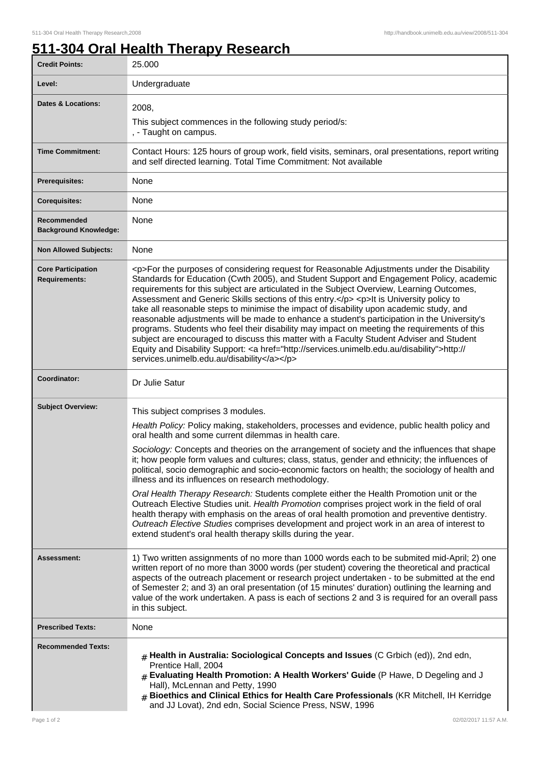## **511-304 Oral Health Therapy Research**

| <b>Credit Points:</b>                             | 25.000                                                                                                                                                                                                                                                                                                                                                                                                                                                                                                                                                                                                                                                                                                                                                                                                                                                                                                                                   |
|---------------------------------------------------|------------------------------------------------------------------------------------------------------------------------------------------------------------------------------------------------------------------------------------------------------------------------------------------------------------------------------------------------------------------------------------------------------------------------------------------------------------------------------------------------------------------------------------------------------------------------------------------------------------------------------------------------------------------------------------------------------------------------------------------------------------------------------------------------------------------------------------------------------------------------------------------------------------------------------------------|
| Level:                                            | Undergraduate                                                                                                                                                                                                                                                                                                                                                                                                                                                                                                                                                                                                                                                                                                                                                                                                                                                                                                                            |
| <b>Dates &amp; Locations:</b>                     | 2008,<br>This subject commences in the following study period/s:<br>, - Taught on campus.                                                                                                                                                                                                                                                                                                                                                                                                                                                                                                                                                                                                                                                                                                                                                                                                                                                |
| <b>Time Commitment:</b>                           | Contact Hours: 125 hours of group work, field visits, seminars, oral presentations, report writing<br>and self directed learning. Total Time Commitment: Not available                                                                                                                                                                                                                                                                                                                                                                                                                                                                                                                                                                                                                                                                                                                                                                   |
| <b>Prerequisites:</b>                             | None                                                                                                                                                                                                                                                                                                                                                                                                                                                                                                                                                                                                                                                                                                                                                                                                                                                                                                                                     |
| <b>Corequisites:</b>                              | None                                                                                                                                                                                                                                                                                                                                                                                                                                                                                                                                                                                                                                                                                                                                                                                                                                                                                                                                     |
| Recommended<br><b>Background Knowledge:</b>       | None                                                                                                                                                                                                                                                                                                                                                                                                                                                                                                                                                                                                                                                                                                                                                                                                                                                                                                                                     |
| <b>Non Allowed Subjects:</b>                      | None                                                                                                                                                                                                                                                                                                                                                                                                                                                                                                                                                                                                                                                                                                                                                                                                                                                                                                                                     |
| <b>Core Participation</b><br><b>Requirements:</b> | <p>For the purposes of considering request for Reasonable Adjustments under the Disability<br/>Standards for Education (Cwth 2005), and Student Support and Engagement Policy, academic<br/>requirements for this subject are articulated in the Subject Overview, Learning Outcomes,<br/>Assessment and Generic Skills sections of this entry.</p> <p>&gt; <p>lt is University policy to<br/>take all reasonable steps to minimise the impact of disability upon academic study, and<br/>reasonable adjustments will be made to enhance a student's participation in the University's<br/>programs. Students who feel their disability may impact on meeting the requirements of this<br/>subject are encouraged to discuss this matter with a Faculty Student Adviser and Student<br/>Equity and Disability Support: &lt; a href="http://services.unimelb.edu.au/disability"&gt;http://<br/>services.unimelb.edu.au/disability</p></p> |
| Coordinator:                                      | Dr Julie Satur                                                                                                                                                                                                                                                                                                                                                                                                                                                                                                                                                                                                                                                                                                                                                                                                                                                                                                                           |
| <b>Subject Overview:</b>                          | This subject comprises 3 modules.                                                                                                                                                                                                                                                                                                                                                                                                                                                                                                                                                                                                                                                                                                                                                                                                                                                                                                        |
|                                                   | Health Policy: Policy making, stakeholders, processes and evidence, public health policy and<br>oral health and some current dilemmas in health care.<br>Sociology: Concepts and theories on the arrangement of society and the influences that shape<br>it; how people form values and cultures; class, status, gender and ethnicity; the influences of                                                                                                                                                                                                                                                                                                                                                                                                                                                                                                                                                                                 |
|                                                   | political, socio demographic and socio-economic factors on health; the sociology of health and<br>illness and its influences on research methodology.                                                                                                                                                                                                                                                                                                                                                                                                                                                                                                                                                                                                                                                                                                                                                                                    |
|                                                   | Oral Health Therapy Research: Students complete either the Health Promotion unit or the<br>Outreach Elective Studies unit. Health Promotion comprises project work in the field of oral<br>health therapy with emphasis on the areas of oral health promotion and preventive dentistry.<br>Outreach Elective Studies comprises development and project work in an area of interest to<br>extend student's oral health therapy skills during the year.                                                                                                                                                                                                                                                                                                                                                                                                                                                                                    |
| Assessment:                                       | 1) Two written assignments of no more than 1000 words each to be submited mid-April; 2) one<br>written report of no more than 3000 words (per student) covering the theoretical and practical<br>aspects of the outreach placement or research project undertaken - to be submitted at the end<br>of Semester 2; and 3) an oral presentation (of 15 minutes' duration) outlining the learning and<br>value of the work undertaken. A pass is each of sections 2 and 3 is required for an overall pass<br>in this subject.                                                                                                                                                                                                                                                                                                                                                                                                                |
| <b>Prescribed Texts:</b>                          | None                                                                                                                                                                                                                                                                                                                                                                                                                                                                                                                                                                                                                                                                                                                                                                                                                                                                                                                                     |
| <b>Recommended Texts:</b>                         | $#$ Health in Australia: Sociological Concepts and Issues (C Grbich (ed)), 2nd edn,<br>Prentice Hall, 2004<br>$#$ Evaluating Health Promotion: A Health Workers' Guide (P Hawe, D Degeling and J<br>Hall), McLennan and Petty, 1990<br>$#$ Bioethics and Clinical Ethics for Health Care Professionals (KR Mitchell, IH Kerridge<br>and JJ Lovat), 2nd edn, Social Science Press, NSW, 1996                                                                                                                                                                                                                                                                                                                                                                                                                                                                                                                                              |